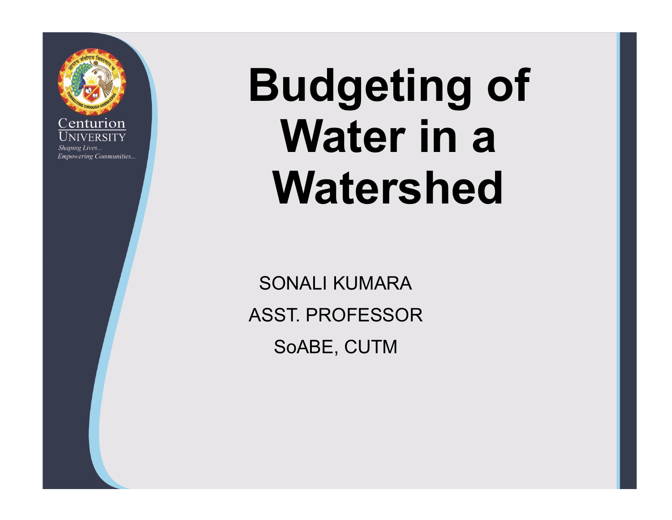

# Budgeting of Water in a Watershed

SONALI KUMARA ASST. PROFESSOR SoABE, CUTM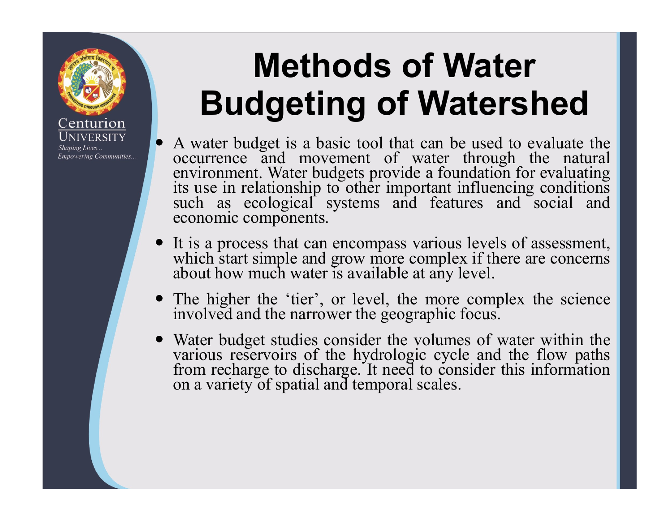### Methods of Water Budgeting of Watershed

enturior

**Empowering Communities...** 

Shaping Lives...

**Methods of Water<br>
Budgeting of Watershed**<br>
A water budget is a basic tool that can be used to evaluate the<br>
occurrence and movement of water through the natural<br>
environment. Water budgets provide a foundation for evaluat **Methods of Water<br>
Budgeting of Watershed**<br>
A water budget is a basic tool that can be used to evaluate the<br>
occurrence and movement of water through the natural<br>
environment. Water budgets provide a foundation for evaluat **Methods of Water<br>
Budgeting of Watershed**<br>
A water budget is a basic tool that can be used to evaluate the<br>
occurrence and movement of water through the natural<br>
environment. Water budgets provide a foundation for evaluat **Methods of Wate**<br>**Budgeting of Waters**<br>A water budget is a basic tool that can be used to<br>occurrence and movement of water through<br>environment. Water budgets provide a foundation f<br>its use in relationship to other importa **INCRESS THE SUDER SURVER STARTS AND SURVER STARTS AND A VALUAT CONTINUES AND CONTINUES AND CONTINUES AND CONTINUES AND A CONTINUES IN A process that can encompass various levels of assessment, which start simple and grow Budgeting of Water**<br>**Budgeting of Watershed**<br>A water budget is a basic tool that can be used to evaluate the<br>occurrence and movement of water through the natural<br>environment. Water budgets provide a foundation for evaluat **Budgeting of Watershed**<br>
• A water budget is a basic tool that can be used to evaluate the<br>
cocurrence and movement of water through the natural<br>
environment. Water budgets provide a foundation for evaluating<br>
its use in **BudgetIng of Watershed**<br>A water budget is a basic tool that can be used to evaluate the<br>occurrence and movement of water through the natural<br>environment. Water budgets provide a foundation for evaluating<br>its use in relati ■ A water budget is a basic tool that can be used to evaluate the occurrence and movement of water through the natural environment. Water budgets provide a foundation for evaluating its use in relationship to other import occurrence and movement of water through the natural<br>environment. Water budgets provide a foundation for evaluating<br>its use in relationship to other important influencing conditions<br>such as ecological systems and features

- 
- 
- such as ecological systems and features and social and<br>economic components.<br>
 It is a process that can encompass various levels of assessment,<br>
which start simple and grow more complex if there are concerns<br>
about how muc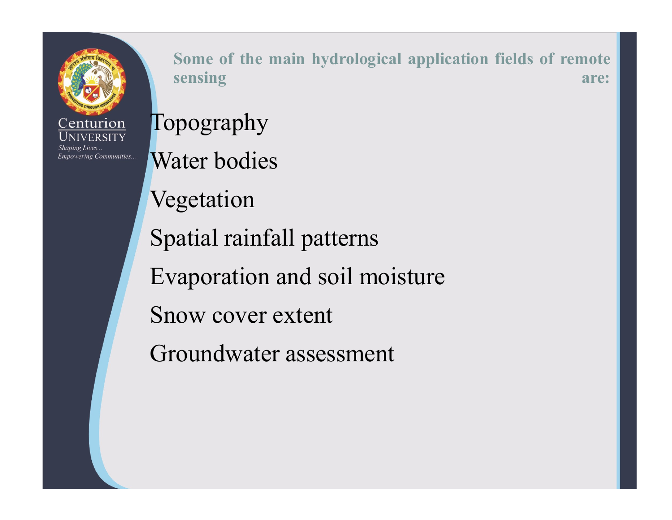

Some of the main hydrological application fields of remote<br>sensing are: Some of the main hydrological application fields of remote<br>sensing are:<br>pography

Topography Some of the main hydrological application<br>sensing<br>Topography<br>Water bodies<br>Vegetation Vegetation Some of the main hydrological application fields of responsing<br>
Topography<br>
Water bodies<br>
Vegetation<br>
Spatial rainfall patterns<br>
Evaporation and soil moisture Evaporation<br>
Sensing<br>
Topography<br>
Water bodies<br>
Vegetation<br>
Spatial rainfall patterns<br>
Evaporation and soil moisture<br>
Snow cover extent Topography<br>
Water bodies<br>
Vegetation<br>
Spatial rainfall patterns<br>
Evaporation and soil moisture<br>
Snow cover extent<br>
Groundwater assessment Water bodies<br>Vegetation<br>Spatial rainfall patterns<br>Evaporation and soil moisture<br>Snow cover extent<br>Groundwater assessment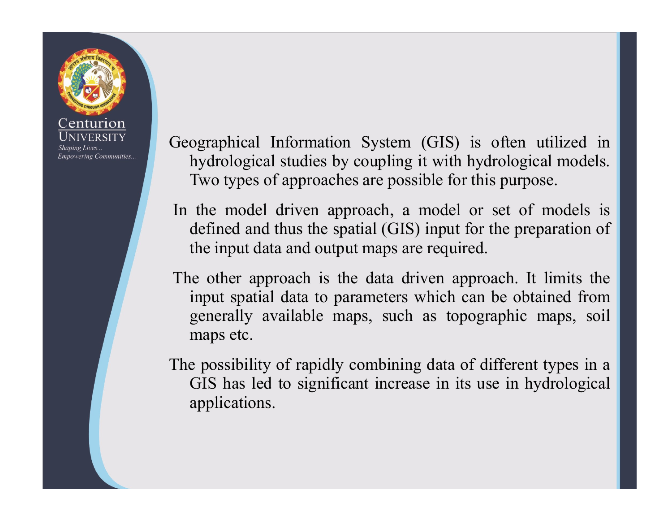

Geographical Information System (GIS) is often utilized in<br>hydrological studies by coupling it with hydrological models.<br>Two types of approaches are possible for this purpose. ographical Information System (GIS) is often utilized in<br>hydrological studies by coupling it with hydrological models.<br>Two types of approaches are possible for this purpose.<br>the model driven approach, a model or set of mod ographical Information System (GIS) is often utilized in<br>hydrological studies by coupling it with hydrological models.<br>Two types of approaches are possible for this purpose.<br>the model driven approach, a model or set of mod

Geographical Information System (GIS) is often utilized in<br>hydrological studies by coupling it with hydrological models.<br>Two types of approaches are possible for this purpose.<br>In the model driven approach, a model or set o ographical Information System (GIS) is often utilized in<br>hydrological studies by coupling it with hydrological models.<br>Two types of approaches are possible for this purpose.<br>the model driven approach, a model or set of mod ographical Information System (GIS) is often utilized in<br>hydrological studies by coupling it with hydrological models.<br>Two types of approaches are possible for this purpose.<br>the model driven approach, a model or set of mod

Geographical Information System (GIS) is often utilized in<br>hydrological studies by coupling it with hydrological models.<br>Two types of approaches are possible for this purpose.<br>In the model driven approach, a model or set o ographical Information System (GIS) is often utilized in<br>hydrological studies by coupling it with hydrological models.<br>Two types of approaches are possible for this purpose.<br>the model driven approach, a model or set of mod ographical Information System (GIS) is often utilized in<br>hydrological studies by coupling it with hydrological models.<br>Two types of approaches are possible for this purpose.<br>the model driven approach, a model or set of mod ographical Information System (GIS) is of<br>hydrological studies by coupling it with hydro<br>Two types of approaches are possible for this p<br>the model driven approach, a model or set<br>defined and thus the spatial (GIS) input fo **Example 10** in the model studies by coupling it with hydrological models.<br>Two types of approaches are possible for this purpose.<br>In the model driven approach, a model or set of models is<br>defined and thus the spatial (GIS) Two types of approaches are possible for this purpose.<br>Two types of approaches are possible for this purpose.<br>the model driven approach, a model or set of models is<br>defined and thus the spatial (GIS) input for the preparat

applications.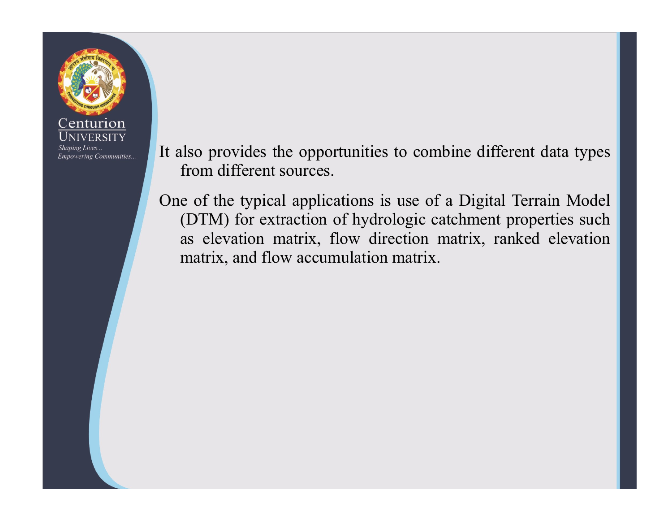

- It also provides the opportunities to combine different data types<br>from different sources.<br>One of the typical applications is use of a Digital Terrain Model
- From different sources.<br>From different sources.<br>From different sources.<br>The typical applications is use of a Digital Terrain<br>(DTM) for extraction of hydrologic catchment propertion It also provides the opportunities to combine different data types<br>from different sources.<br>One of the typical applications is use of a Digital Terrain Model<br>(DTM) for extraction of hydrologic catchment properties such<br>as e (a)<br>
Ilso provides the opportunities to combine different data types<br>
from different sources.<br>
e of the typical applications is use of a Digital Terrain Model<br>
(DTM) for extraction of hydrologic catchment properties such<br> as elevation matrix, flow different data types<br>from different sources.<br>e of the typical applications is use of a Digital Terrain Model<br>(DTM) for extraction of hydrologic catchment properties such<br>as elevation matrix, flow matrix, and flow accumulation matrix.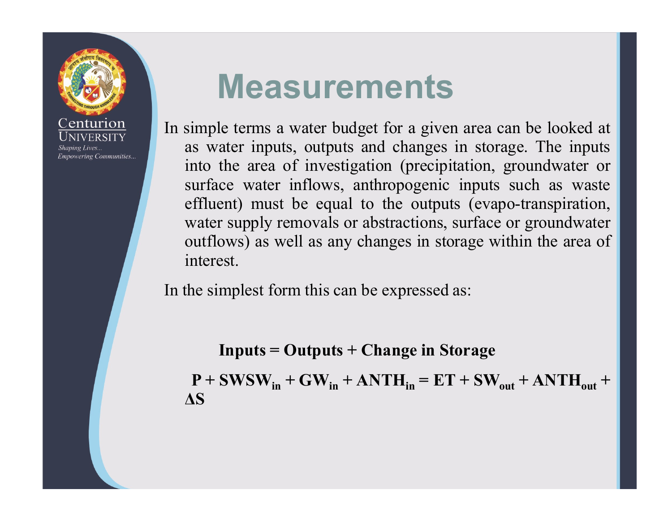

### Measurements

**Measurements**<br>
In simple terms a water budget for a given area can be looked at<br>
as water inputs, outputs and changes in storage. The inputs<br>
into the area of investigation (precipitation, groundwater or<br>
surface water in **Measurements**<br>
simple terms a water budget for a given area can be looked at<br>
as water inputs, outputs and changes in storage. The inputs<br>
into the area of investigation (precipitation, groundwater or<br>
surface water inflo **Measurements**<br> **Solution the area of investigation**<br> **Solution**<br> **Solution**<br> **Solution**<br> **Solution**<br> **Solution**<br> **Solution**<br> **Solution**<br> **Solution**<br> **Solution**<br> **Solution**<br> **Solution**<br> **Solution**<br> **Solution**<br> **Solution**<br> **Measurements**<br>simple terms a water budget for a given area can be looked at<br>as water inputs, outputs and changes in storage. The inputs<br>into the area of investigation (precipitation, groundwater or<br>surface water inflows, **Measurements**<br>
simple terms a water budget for a given area can be looked at<br>
as water inputs, outputs and changes in storage. The inputs<br>
into the area of investigation (precipitation, groundwater or<br>
surface water inflo Weasurements<br>simple terms a water budget for a given area can be looked at<br>as water inputs, outputs and changes in storage. The inputs<br>into the area of investigation (precipitation, groundwater or<br>surface water inflows, an **Measurements**<br>simple terms a water budget for a given area can be looked at<br>as water inputs, outputs and changes in storage. The inputs<br>into the area of investigation (precipitation, groundwater or<br>surface water inflows, In simple terms a water budget for a given area can be looked at<br>as water inputs, outputs and changes in storage. The inputs<br>into the area of investigation (precipitation, groundwater or<br>surface water inflows, anthropogeni ater inputs, outputs and changes in storage. The inputs<br>the area of investigation (precipitation, groundwater or<br>ce water inflows, anthropogenic inputs such as waste<br>ent) must be equal to the outputs (evapo-transpiration, nto the area of investigation (precipitation, groundwater or<br>urface water inflows, anthropogenic inputs such as waste<br>ffluent) must be equal to the outputs (evapo-transpiration,<br>vater supply removals or abstractions, surf

ΔS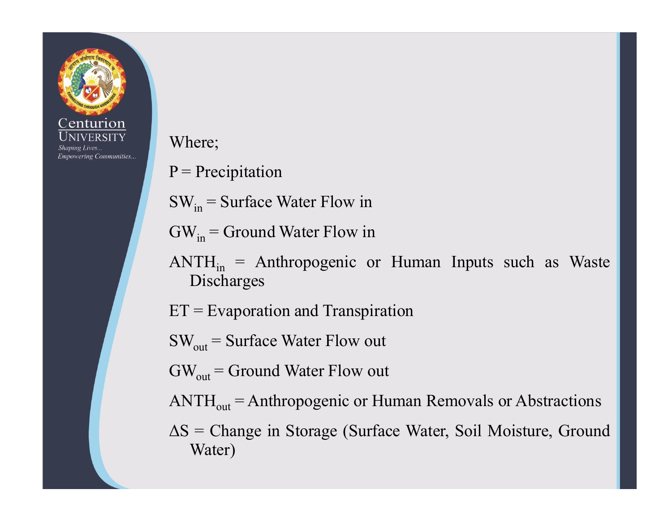

Where;

- 
- Where;<br>  $P = \text{Precision}$ <br>  $SW_{in} = \text{Surface Water Flow in}$ <br>  $GW = \text{Ground Water Flow in}$
- 
- Where;<br>  $P = \text{Precision}$ <br>  $SW_{in} = \text{Surface Water Flow in}$ <br>  $GW_{in} = \text{Ground Water Flow in}$ <br>  $AVTH = \text{Arthropacania}$  or Human Inputs such as Water Where;<br>
P = Precipitation<br>
SW<sub>in</sub> = Surface Water Flow in<br>
GW<sub>in</sub> = Ground Water Flow in<br>
ANTH<sub>in</sub> = Anthropogenic or Human Inputs such as Waste<br>
Discharges  $ANTH<sub>in</sub>$  = Anthropogenic or Human Inputs such as Waste Discharges Where;<br>
P = Precipitation<br>
SW<sub>in</sub> = Surface Water Flow in<br>
GW<sub>in</sub> = Ground Water Flow in<br>
ANTH<sub>in</sub> = Anthropogenic or Human Inputs such as Wast<br>
Discharges<br>
ET = Evaporation and Transpiration<br>
SW<sub>out</sub> = Surface Water Flow Where;<br>
P = Precipitation<br>
SW<sub>in</sub> = Surface Water Flow in<br>
GW<sub>in</sub> = Ground Water Flow in<br>
ANTH<sub>in</sub> = Anthropogenic or Human Inputs such as Waste<br>
Discharges<br>
ET = Evaporation and Transpiration<br>
SW<sub>out</sub> = Surface Water Flo P = Precipitation<br>
SW<sub>in</sub> = Surface Water Flow in<br>
GW<sub>in</sub> = Ground Water Flow in<br>
ANTH<sub>in</sub> = Anthropogenic or Human Inputs such as Waste<br>
Discharges<br>
ET = Evaporation and Transpiration<br>
SW<sub>out</sub> = Surface Water Flow out<br>
G  $SW_{in}$  = Surface Water Flow in<br>  $GW_{in}$  = Ground Water Flow in<br>  $ANTH_{in}$  = Anthropogenic or Human Inputs such as Waste<br>
Discharges<br>  $ET$  = Evaporation and Transpiration<br>  $SW_{out}$  = Surface Water Flow out<br>  $GW_{out}$  = Ground Water  $GW_{in}$  = Ground Water Flow in<br>
ANTH<sub>in</sub> = Anthropogenic or Human Inputs such as Waste<br>
Discharges<br>  $ET$  = Evaporation and Transpiration<br>  $SW_{out}$  = Surface Water Flow out<br>  $GW_{out}$  = Ground Water Flow out<br>
ANTH<sub>out</sub> = Anthropo
- 
- 
- 
- 
- Water)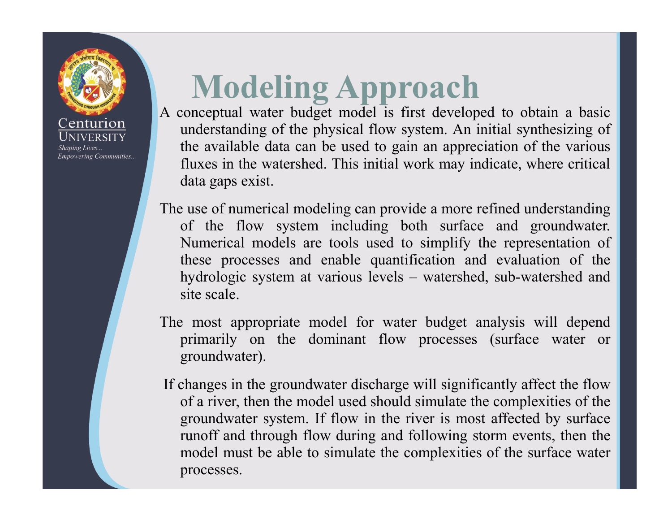# Modeling Approach<br>A conceptual water budget model is first developed to obtain a basic

**Empowering Communities...** 

Modeling Approach<br>A conceptual water budget model is first developed to obtain a basic<br>understanding of the physical flow system. An initial synthesizing of<br>the available data can be used to gain an appreciation of the var **Modeling Approach**<br>conceptual water budget model is first developed to obtain a basic<br>understanding of the physical flow system. An initial synthesizing of<br>the available data can be used to gain an appreciation of the var **Modeling Approach**<br>conceptual water budget model is first developed to obtain a basic<br>understanding of the physical flow system. An initial synthesizing of<br>the available data can be used to gain an appreciation of the var **Modeling Approach**<br>conceptual water budget model is first developed to obtain a basic<br>understanding of the physical flow system. An initial synthesizing of<br>the available data can be used to gain an appreciation of the var **Modeling Approach**<br>conceptual water budget model is first developed to<br>understanding of the physical flow system. An initial s<br>the available data can be used to gain an appreciation<br>fluxes in the watershed. This initial w **Modeling Approach**<br>A conceptual water budget model is first developed to obtain a basic<br>understanding of the physical flow system. An initial synthesizing of<br>the available data can be used to gain an appreciation of the v

**Modeling Approach**<br>conceptual water budget model is first developed to obtain a basic<br>understanding of the physical flow system. An initial synthesizing of<br>the available data can be used to gain an appreciation of the var Modeling Approach<br>
conceptual water budget model is first developed to obtain a basic<br>
understanding of the physical flow system. An initial synthesizing of<br>
the available data can be used to gain an appreciation of the va these processes and enable quantification and evaluation of the **Modeling Approced**<br>conceptual water budget model is first developed to obtain a basic<br>understanding of the physical flow system. An initial synthesizing of<br>the available data can be used to gain an appreciation of the var **Modeling Approvement**<br>conceptual water budget model is first develope<br>understanding of the physical flow system. An in<br>the available data can be used to gain an apprec<br>fluxes in the watershed. This initial work may in<br>dat A conceptual water budget model is first developed to obtain a basic<br>understanding of the physical flow system. An initial synthesizing of<br>the available data can be used to gain an appreciation of the various<br>fluxes in th understanding of the physical flow system. An initial synthesizing of<br>the available data can be used to gain an appreciation of the various<br>fluxes in the watershed. This initial work may indicate, where critical<br>data gaps In the water shear with may mated, where critical<br>data gaps exist.<br>The use of numerical modeling can provide a more refined understanding<br>of the flow system including both surface and groundwater.<br>Numerical models are tool of the momentical modeling can provide a more refined understanding<br>of the flow system including both surface and groundwater.<br>Numerical models are tools used to simplify the representation of<br>these processes and enable qu e use of numerical modeling can provide a more refined understanding<br>of the flow system including both surface and groundwater.<br>Numerical models are tools used to simplify the representation of<br>these processes and enable q

groundwater).

of the flow system including both surface and groundwater.<br>Numerical models are tools used to simplify the representation of<br>these processes and enable quantification and evaluation of the<br>hydrologic system at various leve Numerical models are tools used to simplify the representation of<br>these processes and enable quantification and evaluation of the<br>hydrologic system at various levels – watershed, sub-watershed and<br>site scale.<br>Primarily on processes.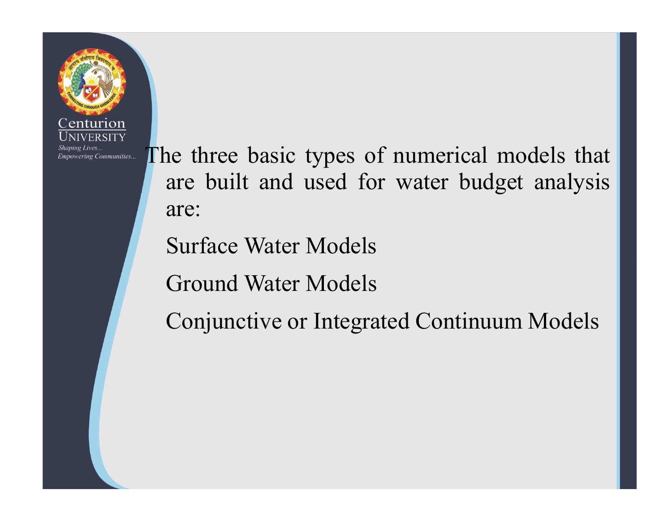

The three basic types of numerical models that<br>are built and used for water budget analysis<br>are: are three basic types of numerical models that<br>are built and used for water budget analysis<br>are: are:

Surface Water Models

Ground Water Models

Conjunctive or Integrated Continuum Models